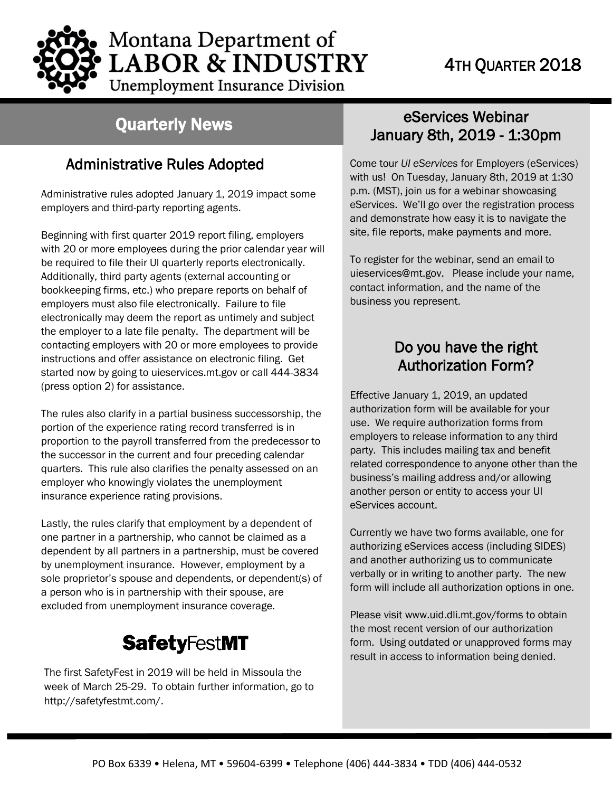## 4TH QUARTER 2018

Montana Department of **LABOR & INDUSTRY** 

**Unemployment Insurance Division** 

## Quarterly News

#### Administrative Rules Adopted

 employers and third-party reporting agents. Administrative rules adopted January 1, 2019 impact some

Beginning with first quarter 2019 report filing, employers with 20 or more employees during the prior calendar year will be required to file their UI quarterly reports electronically. Additionally, third party agents (external accounting or bookkeeping firms, etc.) who prepare reports on behalf of employers must also file electronically. Failure to file electronically may deem the report as untimely and subject the employer to a late file penalty. The department will be contacting employers with 20 or more employees to provide instructions and offer assistance on electronic filing. Get started now by going to uieservices.mt.gov or call 444-3834 (press option 2) for assistance.

The rules also clarify in a partial business successorship, the portion of the experience rating record transferred is in proportion to the payroll transferred from the predecessor to the successor in the current and four preceding calendar quarters. This rule also clarifies the penalty assessed on an employer who knowingly violates the unemployment insurance experience rating provisions.

Lastly, the rules clarify that employment by a dependent of one partner in a partnership, who cannot be claimed as a dependent by all partners in a partnership, must be covered by unemployment insurance. However, employment by a sole proprietor's spouse and dependents, or dependent(s) of a person who is in partnership with their spouse, are excluded from unemployment insurance coverage.

# **SafetyFestMT**

The first SafetyFest in 2019 will be held in Missoula the week of March 25-29. To obtain further information, go to [http://safetyfestmt.com/.](http://safetyfestmt.com/)

#### eServices Webinar January 8th, 2019 - 1:30pm

Come tour *UI eServices* for Employers (eServices) with us! On Tuesday, January 8th, 2019 at 1:30 p.m. (MST), join us for a webinar showcasing eServices. We'll go over the registration process and demonstrate how easy it is to navigate the site, file reports, make payments and more.

To register for the webinar, send an email to [uieservices@mt.gov.](mailto:uieservices@mt.gov) Please include your name, contact information, and the name of the business you represent.

#### Do you have the right Authorization Form?

Effective January 1, 2019, an updated authorization form will be available for your use. We require authorization forms from employers to release information to any third party. This includes mailing tax and benefit related correspondence to anyone other than the business's mailing address and/or allowing another person or entity to access your UI eServices account.

Currently we have two forms available, one for authorizing eServices access (including SIDES) and another authorizing us to communicate verbally or in writing to another party. The new form will include all authorization options in one.

Please visit [www.uid.dli.mt.gov/forms](http://www.uid.dli.mt.gov/forms) to obtain the most recent version of our authorization form. Using outdated or unapproved forms may result in access to information being denied.